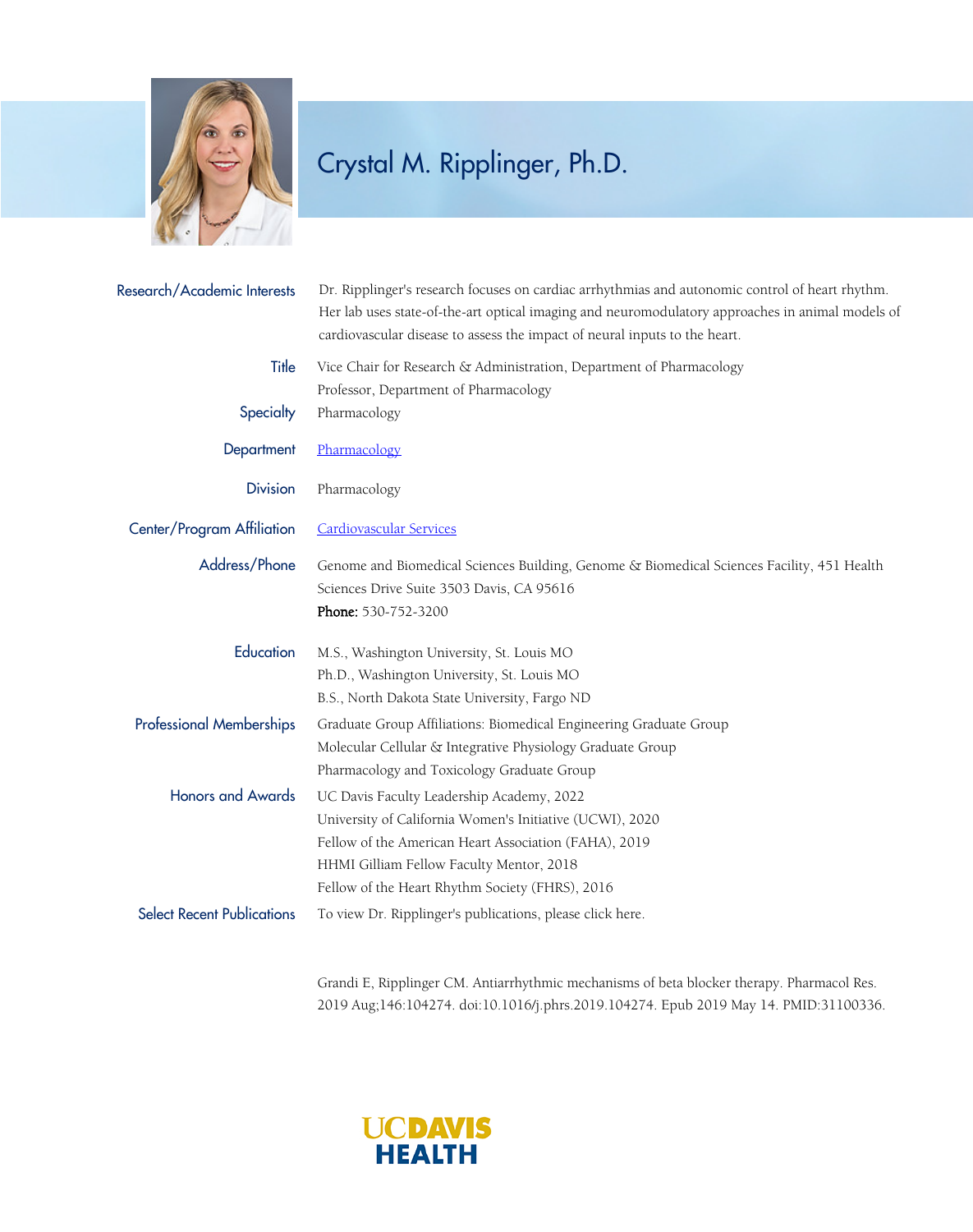

## Crystal M. Ripplinger, Ph.D.

| Research/Academic Interests       | Dr. Ripplinger's research focuses on cardiac arrhythmias and autonomic control of heart rhythm.<br>Her lab uses state-of-the-art optical imaging and neuromodulatory approaches in animal models of<br>cardiovascular disease to assess the impact of neural inputs to the heart. |
|-----------------------------------|-----------------------------------------------------------------------------------------------------------------------------------------------------------------------------------------------------------------------------------------------------------------------------------|
| Title                             | Vice Chair for Research & Administration, Department of Pharmacology<br>Professor, Department of Pharmacology                                                                                                                                                                     |
| Specialty                         | Pharmacology                                                                                                                                                                                                                                                                      |
| Department                        | Pharmacology                                                                                                                                                                                                                                                                      |
| <b>Division</b>                   | Pharmacology                                                                                                                                                                                                                                                                      |
| Center/Program Affiliation        | <b>Cardiovascular Services</b>                                                                                                                                                                                                                                                    |
| Address/Phone                     | Genome and Biomedical Sciences Building, Genome & Biomedical Sciences Facility, 451 Health<br>Sciences Drive Suite 3503 Davis, CA 95616<br>Phone: 530-752-3200                                                                                                                    |
| Education                         | M.S., Washington University, St. Louis MO<br>Ph.D., Washington University, St. Louis MO<br>B.S., North Dakota State University, Fargo ND                                                                                                                                          |
| <b>Professional Memberships</b>   | Graduate Group Affiliations: Biomedical Engineering Graduate Group<br>Molecular Cellular & Integrative Physiology Graduate Group<br>Pharmacology and Toxicology Graduate Group                                                                                                    |
| <b>Honors and Awards</b>          | UC Davis Faculty Leadership Academy, 2022<br>University of California Women's Initiative (UCWI), 2020<br>Fellow of the American Heart Association (FAHA), 2019<br>HHMI Gilliam Fellow Faculty Mentor, 2018<br>Fellow of the Heart Rhythm Society (FHRS), 2016                     |
| <b>Select Recent Publications</b> | To view Dr. Ripplinger's publications, please click here.                                                                                                                                                                                                                         |

Grandi E, Ripplinger CM. Antiarrhythmic mechanisms of beta blocker therapy. Pharmacol Res. 2019 Aug;146:104274. doi:10.1016/j.phrs.2019.104274. Epub 2019 May 14. PMID:31100336.

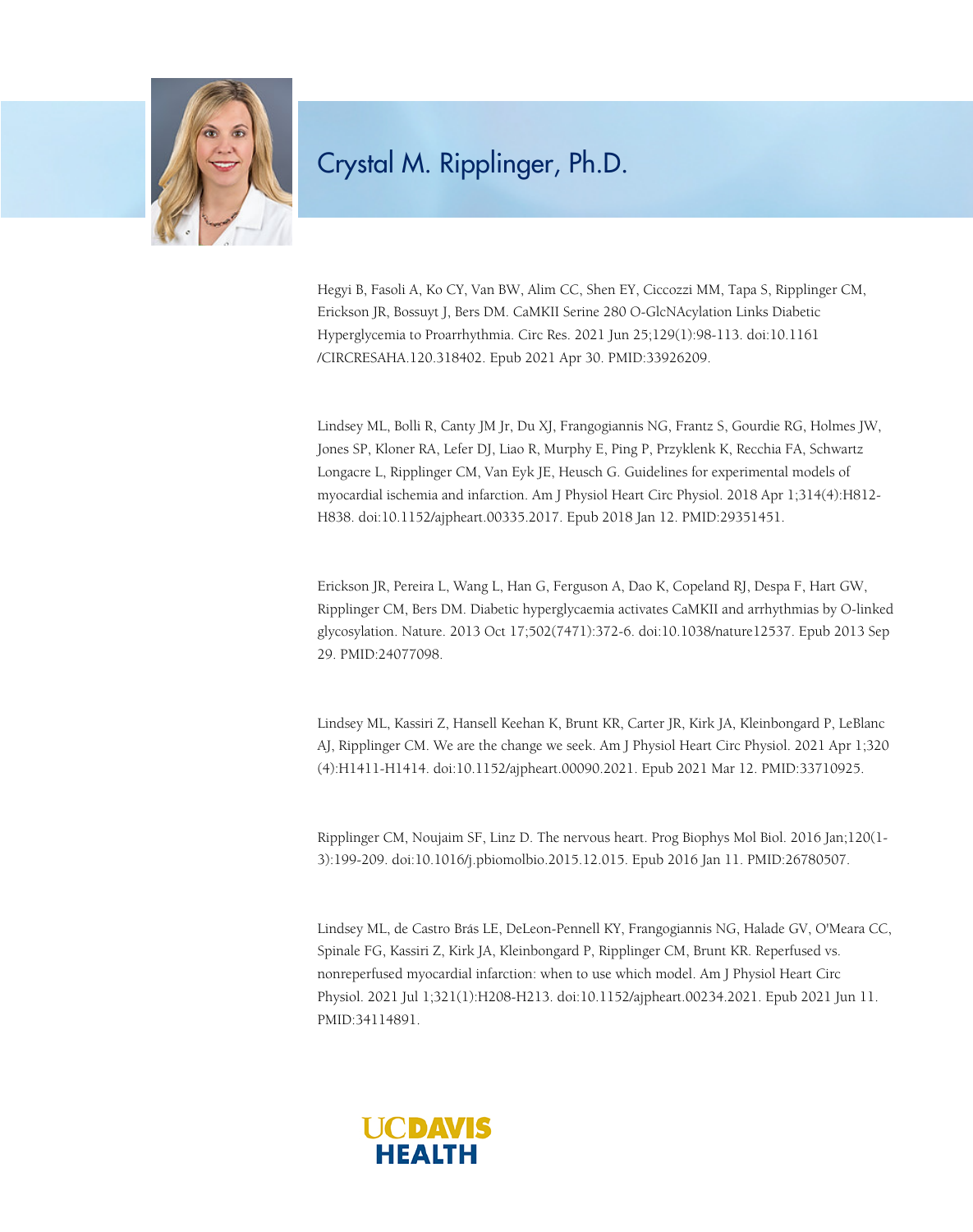

## Crystal M. Ripplinger, Ph.D.

Hegyi B, Fasoli A, Ko CY, Van BW, Alim CC, Shen EY, Ciccozzi MM, Tapa S, Ripplinger CM, Erickson JR, Bossuyt J, Bers DM. CaMKII Serine 280 O-GlcNAcylation Links Diabetic Hyperglycemia to Proarrhythmia. Circ Res. 2021 Jun 25;129(1):98-113. doi:10.1161 /CIRCRESAHA.120.318402. Epub 2021 Apr 30. PMID:33926209.

Lindsey ML, Bolli R, Canty JM Jr, Du XJ, Frangogiannis NG, Frantz S, Gourdie RG, Holmes JW, Jones SP, Kloner RA, Lefer DJ, Liao R, Murphy E, Ping P, Przyklenk K, Recchia FA, Schwartz Longacre L, Ripplinger CM, Van Eyk JE, Heusch G. Guidelines for experimental models of myocardial ischemia and infarction. Am J Physiol Heart Circ Physiol. 2018 Apr 1;314(4):H812- H838. doi:10.1152/ajpheart.00335.2017. Epub 2018 Jan 12. PMID:29351451.

Erickson JR, Pereira L, Wang L, Han G, Ferguson A, Dao K, Copeland RJ, Despa F, Hart GW, Ripplinger CM, Bers DM. Diabetic hyperglycaemia activates CaMKII and arrhythmias by O-linked glycosylation. Nature. 2013 Oct 17;502(7471):372-6. doi:10.1038/nature12537. Epub 2013 Sep 29. PMID:24077098.

Lindsey ML, Kassiri Z, Hansell Keehan K, Brunt KR, Carter JR, Kirk JA, Kleinbongard P, LeBlanc AJ, Ripplinger CM. We are the change we seek. Am J Physiol Heart Circ Physiol. 2021 Apr 1;320 (4):H1411-H1414. doi:10.1152/ajpheart.00090.2021. Epub 2021 Mar 12. PMID:33710925.

Ripplinger CM, Noujaim SF, Linz D. The nervous heart. Prog Biophys Mol Biol. 2016 Jan;120(1- 3):199-209. doi:10.1016/j.pbiomolbio.2015.12.015. Epub 2016 Jan 11. PMID:26780507.

Lindsey ML, de Castro Brás LE, DeLeon-Pennell KY, Frangogiannis NG, Halade GV, O'Meara CC, Spinale FG, Kassiri Z, Kirk JA, Kleinbongard P, Ripplinger CM, Brunt KR. Reperfused vs. nonreperfused myocardial infarction: when to use which model. Am J Physiol Heart Circ Physiol. 2021 Jul 1;321(1):H208-H213. doi:10.1152/ajpheart.00234.2021. Epub 2021 Jun 11. PMID:34114891.